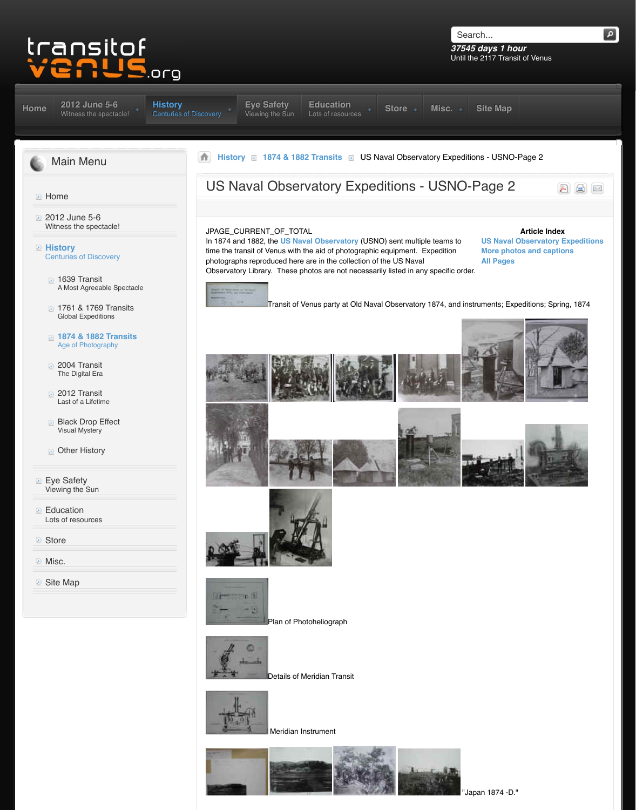## Global Expeditions of the Contract of the Contract of the Contract of the Contract of the Contract of the Contract of the Contract of the Contract of the Contract of the Contract of the Contract of the Contract of the Cont

- **1874 & 1882 Transits** Age of Photography
- 2004 Transit The Digital Era
- 2012 Transit Last of a Lifetime
- [Black Drop Effect](http://www.transitofvenus.org/june2012) Visual Mystery
- **D** Other History
- Eye Safety Viewing the Sun
- **Education** [Lots of resources](http://www.transitofvenus.org/)
- **[Store](http://www.transitofvenus.org/june2012)**
- **Misc.**
- **D** [Site Map](http://www.transitofvenus.org/history)





[Details of Meridian](http://www.transitofvenus.org/images/stories/USNO/DSC02668.JPG) [Transit](http://www.transitofvenus.org/images/stories/USNO/DSC02669.JPG)



Meridian Instrument





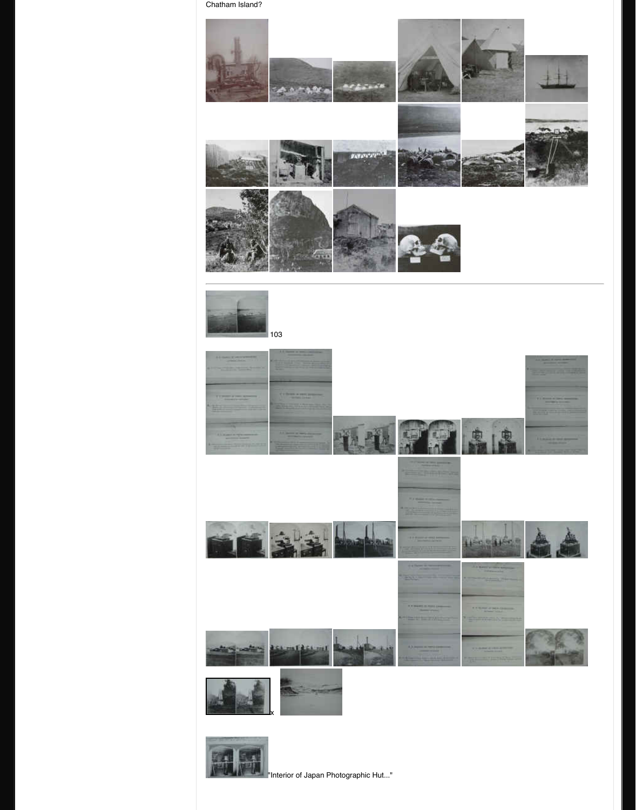













**The Interior of Japan Photographic Hut...**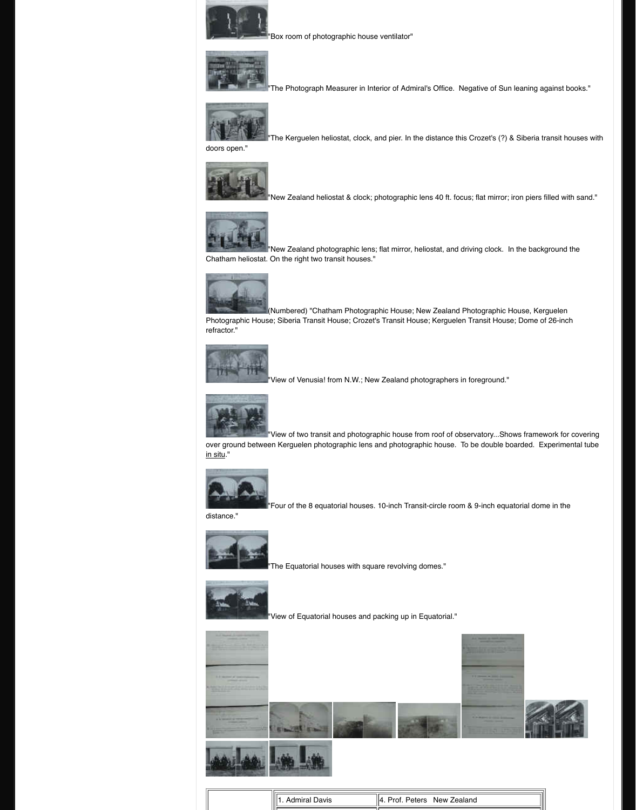[Photographic Hous](http://www.transitofvenus.org/images/stories/USNO/DSC02742.JPG)e; Siberia Transit House; Crozet's refractor."



"View of Venusia! from N.W.; New



"View of two transit and photograp

[over ground betwe](http://www.transitofvenus.org/images/stories/USNO/DSC02744.JPG)en Kerguelen photographic lens a in situ."



 $\mathsf{I}\text{-}\mathsf{Four}$  of the 8 equatorial houses.  $\cdot$ 

[distance."](http://www.transitofvenus.org/images/stories/USNO/DSC02745.JPG)



 $"$ The Equatorial houses with squar



"View of Equatorial houses and pa







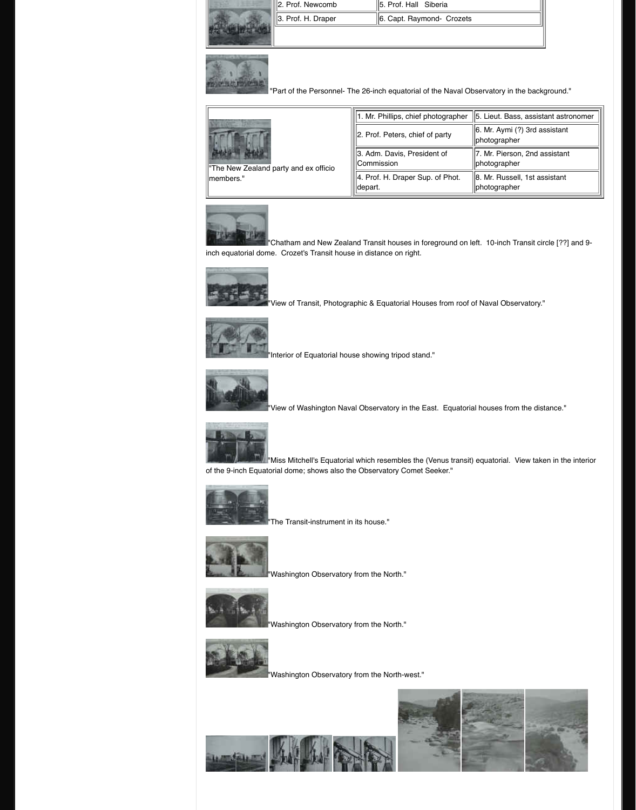

["](http://www.transitofvenus.org/images/stories/USNO/DSC02762.JPG)Interior of Equatorial house show



"View of Washington Naval Obser



**N**"Miss Mitchell's Equatorial which resemble [of the 9-inch Equato](http://www.transitofvenus.org/images/stories/USNO/DSC02764.JPG)rial dome; shows also the Obser.



"The Transit-instrument in its hous



"Washington Observatory from the



"Washington Observatory from the



"Washington Observatory from the

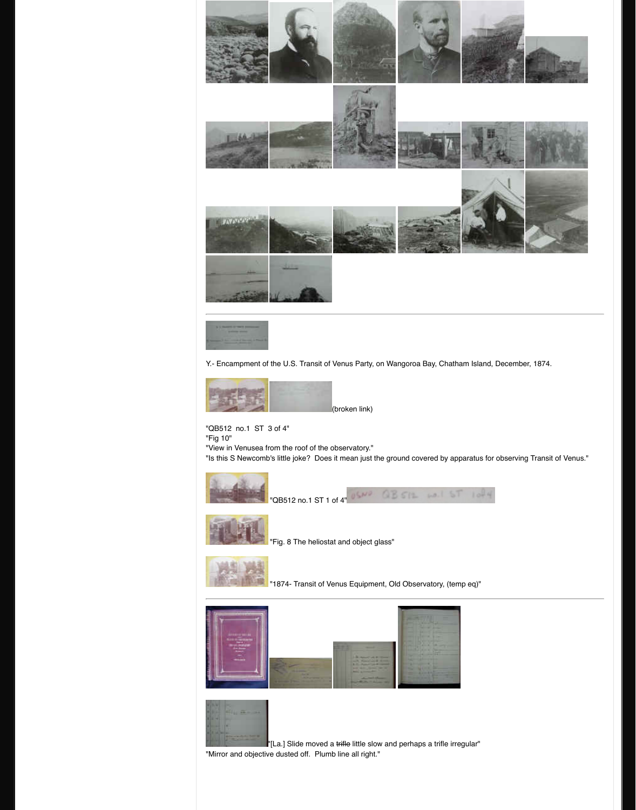

[Y.- Encampment of](http://www.transitofvenus.org/images/stories/USNO/DSC02782.JPG) [the U.S. Transit of](http://www.transitofvenus.org/images/stories/USNO/DSC02783.JPG) Venus Party, c



(broken link)

0520

"QB512 no.1 ST 3 of 4" "Fig 10"

["View in Venusea f](http://www.transitofvenus.org/images/stories/USNO/DSC02788.JPG)[rom the roof of the o](http://www.transitofvenus.org/images/stories/USNO/DSC02789.JPG)bservatory." "Is this S Newcomb's little joke? Does it mean just the



"QB512 no.1 ST 1 of 4"



"Fig. 8 The heliostat and object gl



"1874- Transit of Venus Equipme







"[La.] Slide moved a trifle little slov "Mirror and objective dusted off. Plumb line all right."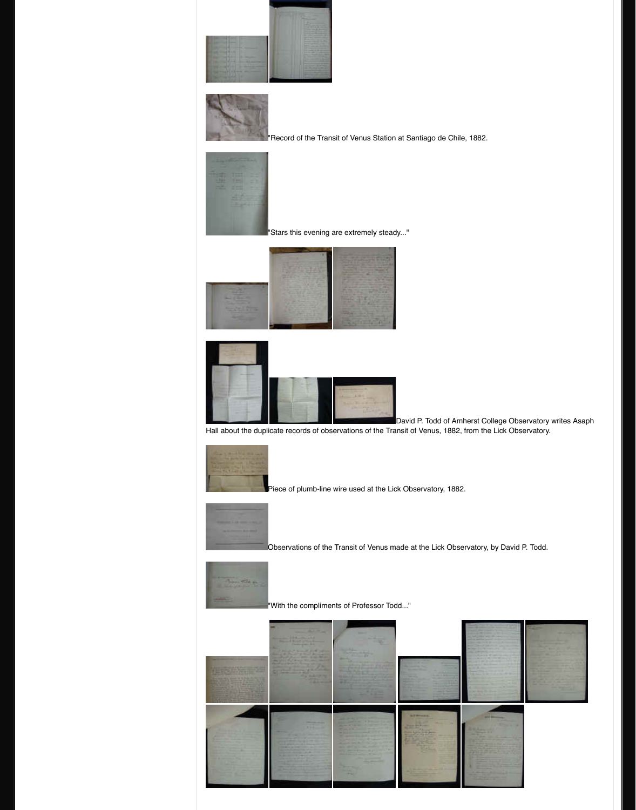





Piece of plumb-line wire used at the



Observations of the Transit of Ven



 $"$  With the compliments of Professom